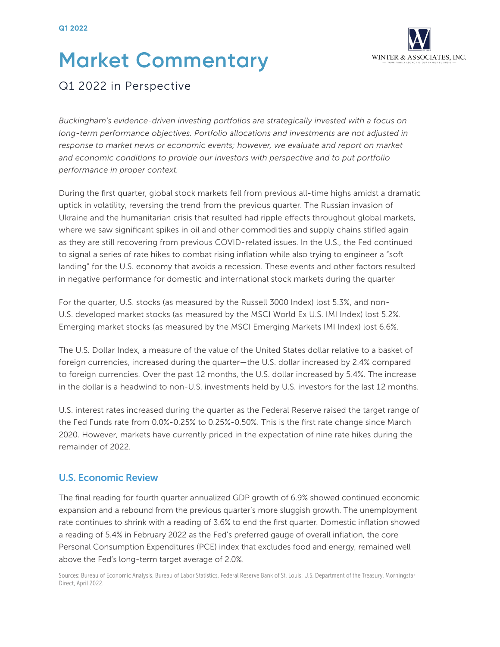# **Market Commentary**



## Q1 2022 in Perspective

*Buckingham's evidence-driven investing portfolios are strategically invested with a focus on long-term performance objectives. Portfolio allocations and investments are not adjusted in response to market news or economic events; however, we evaluate and report on market and economic conditions to provide our investors with perspective and to put portfolio performance in proper context.*

During the first quarter, global stock markets fell from previous all-time highs amidst a dramatic uptick in volatility, reversing the trend from the previous quarter. The Russian invasion of Ukraine and the humanitarian crisis that resulted had ripple effects throughout global markets, where we saw significant spikes in oil and other commodities and supply chains stifled again as they are still recovering from previous COVID-related issues. In the U.S., the Fed continued to signal a series of rate hikes to combat rising inflation while also trying to engineer a "soft landing" for the U.S. economy that avoids a recession. These events and other factors resulted in negative performance for domestic and international stock markets during the quarter

For the quarter, U.S. stocks (as measured by the Russell 3000 Index) lost 5.3%, and non-U.S. developed market stocks (as measured by the MSCI World Ex U.S. IMI Index) lost 5.2%. Emerging market stocks (as measured by the MSCI Emerging Markets IMI Index) lost 6.6%.

The U.S. Dollar Index, a measure of the value of the United States dollar relative to a basket of foreign currencies, increased during the quarter—the U.S. dollar increased by 2.4% compared to foreign currencies. Over the past 12 months, the U.S. dollar increased by 5.4%. The increase in the dollar is a headwind to non-U.S. investments held by U.S. investors for the last 12 months.

U.S. interest rates increased during the quarter as the Federal Reserve raised the target range of the Fed Funds rate from 0.0%-0.25% to 0.25%-0.50%. This is the first rate change since March 2020. However, markets have currently priced in the expectation of nine rate hikes during the remainder of 2022.

#### U.S. Economic Review

The final reading for fourth quarter annualized GDP growth of 6.9% showed continued economic expansion and a rebound from the previous quarter's more sluggish growth. The unemployment rate continues to shrink with a reading of 3.6% to end the first quarter. Domestic inflation showed a reading of 5.4% in February 2022 as the Fed's preferred gauge of overall inflation, the core Personal Consumption Expenditures (PCE) index that excludes food and energy, remained well above the Fed's long-term target average of 2.0%.

Sources: Bureau of Economic Analysis, Bureau of Labor Statistics, Federal Reserve Bank of St. Louis, U.S. Department of the Treasury, Morningstar Direct, April 2022.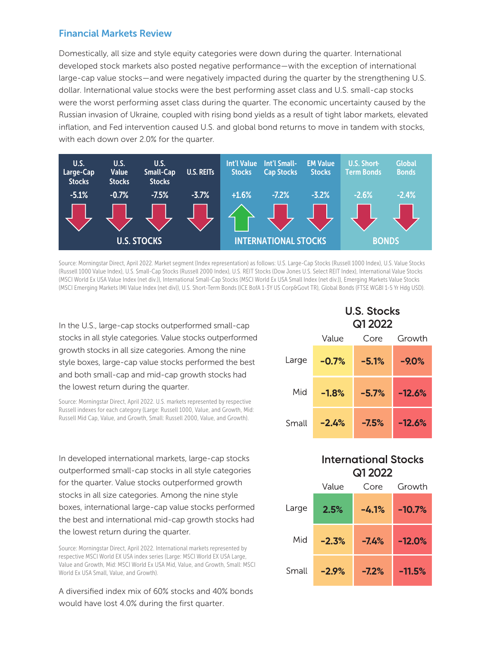#### Financial Markets Review

Domestically, all size and style equity categories were down during the quarter. International developed stock markets also posted negative performance—with the exception of international large-cap value stocks—and were negatively impacted during the quarter by the strengthening U.S. dollar. International value stocks were the best performing asset class and U.S. small-cap stocks were the worst performing asset class during the quarter. The economic uncertainty caused by the Russian invasion of Ukraine, coupled with rising bond yields as a result of tight labor markets, elevated inflation, and Fed intervention caused U.S. and global bond returns to move in tandem with stocks, with each down over 2.0% for the quarter.



Source: Morningstar Direct, April 2022. Market segment (Index representation) as follows: U.S. Large-Cap Stocks (Russell 1000 Index), U.S. Value Stocks (Russell 1000 Value Index), U.S. Small-Cap Stocks (Russell 2000 Index), U.S. REIT Stocks (Dow Jones U.S. Select REIT Index), International Value Stocks (MSCI World Ex USA Value Index (net div.)), International Small-Cap Stocks (MSCI World Ex USA Small Index (net div.)), Emerging Markets Value Stocks (MSCI Emerging Markets IMI Value Index (net div)), U.S. Short-Term Bonds (ICE BofA 1-3Y US Corp&Govt TR), Global Bonds (FTSE WGBI 1-5 Yr Hdg USD).

In the U.S., large-cap stocks outperformed small-cap stocks in all style categories. Value stocks outperformed growth stocks in all size categories. Among the nine style boxes, large-cap value stocks performed the best and both small-cap and mid-cap growth stocks had the lowest return during the quarter.

Source: Morningstar Direct, April 2022. U.S. markets represented by respective Russell indexes for each category (Large: Russell 1000, Value, and Growth, Mid: Russell Mid Cap, Value, and Growth, Small: Russell 2000, Value, and Growth).

In developed international markets, large-cap stocks outperformed small-cap stocks in all style categories for the quarter. Value stocks outperformed growth stocks in all size categories. Among the nine style boxes, international large-cap value stocks performed the best and international mid-cap growth stocks had the lowest return during the quarter.

Source: Morningstar Direct, April 2022. International markets represented by respective MSCI World EX USA index series (Large: MSCI World EX USA Large, Value and Growth, Mid: MSCI World Ex USA Mid, Value, and Growth, Small: MSCI World Ex USA Small, Value, and Growth).

A diversified index mix of 60% stocks and 40% bonds would have lost 4.0% during the first quarter.

## **U.S. Stocks Q1 2022**

|       | Value   | Core    | Growth   |
|-------|---------|---------|----------|
| Large | $-0.7%$ | $-5.1%$ | $-9.0%$  |
| Mid   | $-1.8%$ | $-5.7%$ | $-12.6%$ |
| Small | $-2.4%$ | $-7.5%$ | $-12.6%$ |

## **International Stocks Q1 2022**

|       | Value   | Core    | Growth   |
|-------|---------|---------|----------|
| Large | 2.5%    | $-4.1%$ | $-10.7%$ |
| Mid   | $-2.3%$ | $-7.4%$ | $-12.0%$ |
| Small | $-2.9%$ | $-7.2%$ | $-11.5%$ |